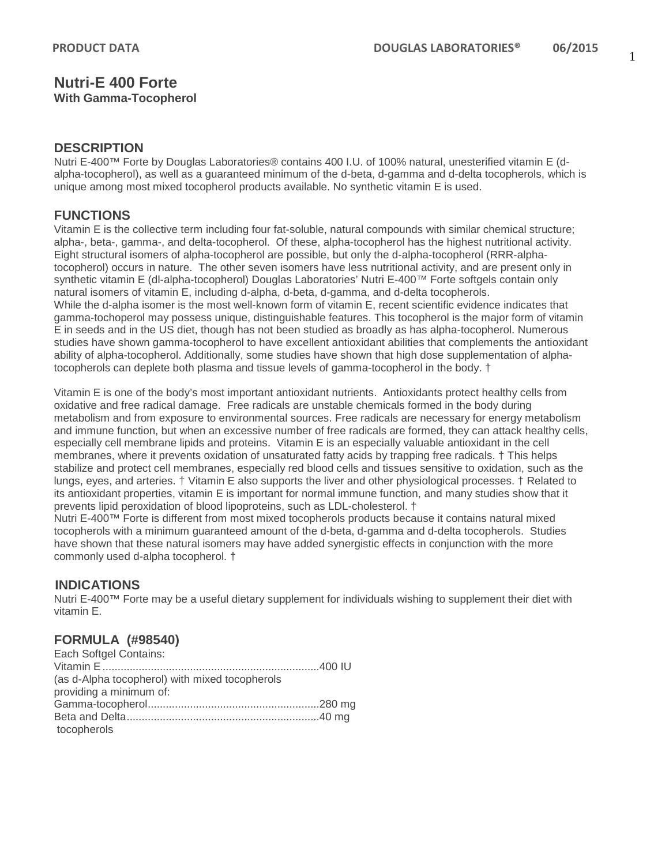#### **Nutri-E 400 Forte With Gamma-Tocopherol**

### **DESCRIPTION**

Nutri E-400™ Forte by Douglas Laboratories® contains 400 I.U. of 100% natural, unesterified vitamin E (dalpha-tocopherol), as well as a guaranteed minimum of the d-beta, d-gamma and d-delta tocopherols, which is unique among most mixed tocopherol products available. No synthetic vitamin E is used.

## **FUNCTIONS**

Vitamin E is the collective term including four fat-soluble, natural compounds with similar chemical structure; alpha-, beta-, gamma-, and delta-tocopherol. Of these, alpha-tocopherol has the highest nutritional activity. Eight structural isomers of alpha-tocopherol are possible, but only the d-alpha-tocopherol (RRR-alphatocopherol) occurs in nature. The other seven isomers have less nutritional activity, and are present only in synthetic vitamin E (dl-alpha-tocopherol) Douglas Laboratories' Nutri E-400™ Forte softgels contain only natural isomers of vitamin E, including d-alpha, d-beta, d-gamma, and d-delta tocopherols. While the d-alpha isomer is the most well-known form of vitamin E, recent scientific evidence indicates that gamma-tochoperol may possess unique, distinguishable features. This tocopherol is the major form of vitamin E in seeds and in the US diet, though has not been studied as broadly as has alpha-tocopherol. Numerous studies have shown gamma-tocopherol to have excellent antioxidant abilities that complements the antioxidant ability of alpha-tocopherol. Additionally, some studies have shown that high dose supplementation of alphatocopherols can deplete both plasma and tissue levels of gamma-tocopherol in the body. †

Vitamin E is one of the body's most important antioxidant nutrients. Antioxidants protect healthy cells from oxidative and free radical damage. Free radicals are unstable chemicals formed in the body during metabolism and from exposure to environmental sources. Free radicals are necessary for energy metabolism and immune function, but when an excessive number of free radicals are formed, they can attack healthy cells, especially cell membrane lipids and proteins. Vitamin E is an especially valuable antioxidant in the cell membranes, where it prevents oxidation of unsaturated fatty acids by trapping free radicals. † This helps stabilize and protect cell membranes, especially red blood cells and tissues sensitive to oxidation, such as the lungs, eyes, and arteries. † Vitamin E also supports the liver and other physiological processes. † Related to its antioxidant properties, vitamin E is important for normal immune function, and many studies show that it prevents lipid peroxidation of blood lipoproteins, such as LDL-cholesterol. †

Nutri E-400™ Forte is different from most mixed tocopherols products because it contains natural mixed tocopherols with a minimum guaranteed amount of the d-beta, d-gamma and d-delta tocopherols. Studies have shown that these natural isomers may have added synergistic effects in conjunction with the more commonly used d-alpha tocopherol. †

## **INDICATIONS**

Nutri E-400™ Forte may be a useful dietary supplement for individuals wishing to supplement their diet with vitamin E.

## **FORMULA (#98540)**

| Each Softgel Contains:                         |  |
|------------------------------------------------|--|
|                                                |  |
| (as d-Alpha tocopherol) with mixed tocopherols |  |
| providing a minimum of:                        |  |
|                                                |  |
|                                                |  |
| tocopherols                                    |  |